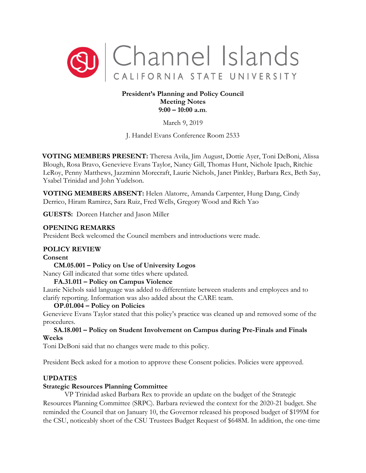

### **President's Planning and Policy Council Meeting Notes 9:00 – 10:00 a.m**.

March 9, 2019

J. Handel Evans Conference Room 2533

**VOTING MEMBERS PRESENT:** Theresa Avila, Jim August, Dottie Ayer, Toni DeBoni, Alissa Blough, Rosa Bravo, Genevieve Evans Taylor, Nancy Gill, Thomas Hunt, Nichole Ipach, Ritchie LeRoy, Penny Matthews, Jazzminn Morecraft, Laurie Nichols, Janet Pinkley, Barbara Rex, Beth Say, Ysabel Trinidad and John Yudelson.

**VOTING MEMBERS ABSENT:** Helen Alatorre, Amanda Carpenter, Hung Dang, Cindy Derrico, Hiram Ramirez, Sara Ruiz, Fred Wells, Gregory Wood and Rich Yao

**GUESTS:** Doreen Hatcher and Jason Miller

### **OPENING REMARKS**

President Beck welcomed the Council members and introductions were made.

## **POLICY REVIEW**

#### **Consent**

**CM.05.001 – Policy on Use of University Logos**  Nancy Gill indicated that some titles where updated.

#### **FA.31.011 – Policy on Campus Violence**

Laurie Nichols said language was added to differentiate between students and employees and to clarify reporting. Information was also added about the CARE team.

## **OP.01.004 – Policy on Policies**

Genevieve Evans Taylor stated that this policy's practice was cleaned up and removed some of the procedures.

### **SA.18.001 – Policy on Student Involvement on Campus during Pre-Finals and Finals Weeks**

Toni DeBoni said that no changes were made to this policy.

President Beck asked for a motion to approve these Consent policies. Policies were approved.

## **UPDATES**

## **Strategic Resources Planning Committee**

VP Trinidad asked Barbara Rex to provide an update on the budget of the Strategic Resources Planning Committee (SRPC). Barbara reviewed the context for the 2020-21 budget. She reminded the Council that on January 10, the Governor released his proposed budget of \$199M for the CSU, noticeably short of the CSU Trustees Budget Request of \$648M. In addition, the one-time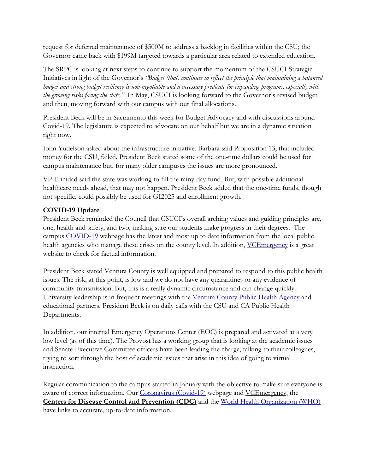request for deferred maintenance of \$500M to address a backlog in facilities within the CSU; the Governor came back with \$199M targeted towards a particular area related to extended education.

The SRPC is looking at next steps to continue to support the momentum of the CSUCI Strategic Initiatives in light of the Governor's *"Budget (that) continues to reflect the principle that maintaining a balanced budget and strong budget resiliency is non-negotiable and a necessary predicate for expanding programs, especially with the growing risks facing the state."* In May, CSUCI is looking forward to the Governor's revised budget and then, moving forward with our campus with our final allocations.

President Beck will be in Sacramento this week for Budget Advocacy and with discussions around Covid-19. The legislature is expected to advocate on our behalf but we are in a dynamic situation right now.

John Yudelson asked about the infrastructure initiative. Barbara said Proposition 13, that included money for the CSU, failed. President Beck stated some of the one-time dollars could be used for campus maintenance but, for many older campuses the issues are more pronounced.

VP Trinidad said the state was working to fill the rainy-day fund. But, with possible additional healthcare needs ahead, that may not happen. President Beck added that the one-time funds, though not specific, could possibly be used for GI2025 and enrollment growth.

# **COVID-19 Update**

President Beck reminded the Council that CSUCI's overall arching values and guiding principles are, one, health and safety, and two, making sure our students make progress in their degrees. The campus [COVID-19](https://www.csuci.edu/news/campus-updates/covid19.htm) webpage has the latest and most up to date information from the local public health agencies who manage these crises on the county level. In addition, VCE mergency is a great website to check for factual information.

President Beck stated Ventura County is well equipped and prepared to respond to this public health issues. The risk, at this point, is low and we do not have any quarantines or any evidence of community transmission. But, this is a really dynamic circumstance and can change quickly. University leadership is in frequent meetings with the [Ventura County Public Health Agency](http://www.vchca.org/) and educational partners. President Beck is on daily calls with the CSU and CA Public Health Departments.

In addition, our internal Emergency Operations Center (EOC) is prepared and activated at a very low level (as of this time). The Provost has a working group that is looking at the academic issues and Senate Executive Committee officers have been leading the charge, talking to their colleagues, trying to sort through the host of academic issues that arise in this idea of going to virtual instruction.

Regular communication to the campus started in January with the objective to make sure everyone is aware of correct information. Our [Coronavirus \(Covid-19\)](https://www.csuci.edu/news/campus-updates/covid19.htm) webpage and [VCEmergency,](https://www.vcemergency.com/) the **Centers [for Disease Control and Prevention \(CDC\)](https://www.cdc.gov/)** and the [World Health Organization \(WHO\)](https://www.who.int/) have links to accurate, up-to-date information.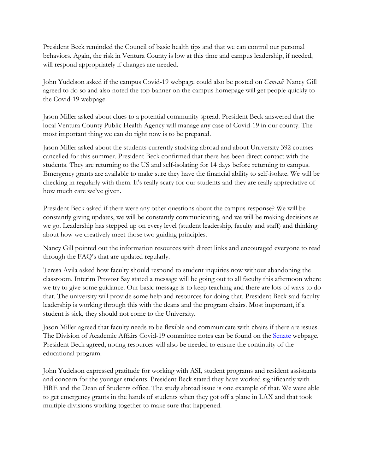President Beck reminded the Council of basic health tips and that we can control our personal behaviors. Again, the risk in Ventura County is low at this time and campus leadership, if needed, will respond appropriately if changes are needed.

John Yudelson asked if the campus Covid-19 webpage could also be posted on *Canvas*? Nancy Gill agreed to do so and also noted the top banner on the campus homepage will get people quickly to the Covid-19 webpage.

Jason Miller asked about clues to a potential community spread. President Beck answered that the local Ventura County Public Health Agency will manage any case of Covid-19 in our county. The most important thing we can do right now is to be prepared.

Jason Miller asked about the students currently studying abroad and about University 392 courses cancelled for this summer. President Beck confirmed that there has been direct contact with the students. They are returning to the US and self-isolating for 14 days before returning to campus. Emergency grants are available to make sure they have the financial ability to self-isolate. We will be checking in regularly with them. It's really scary for our students and they are really appreciative of how much care we've given.

President Beck asked if there were any other questions about the campus response? We will be constantly giving updates, we will be constantly communicating, and we will be making decisions as we go. Leadership has stepped up on every level (student leadership, faculty and staff) and thinking about how we creatively meet those two guiding principles.

Nancy Gill pointed out the information resources with direct links and encouraged everyone to read through the FAQ's that are updated regularly.

Teresa Avila asked how faculty should respond to student inquiries now without abandoning the classroom. Interim Provost Say stated a message will be going out to all faculty this afternoon where we try to give some guidance. Our basic message is to keep teaching and there are lots of ways to do that. The university will provide some help and resources for doing that. President Beck said faculty leadership is working through this with the deans and the program chairs. Most important, if a student is sick, they should not come to the University.

Jason Miller agreed that faculty needs to be flexible and communicate with chairs if there are issues. The Division of Academic Affairs Covid-19 committee notes can be found on the Senate webpage. President Beck agreed, noting resources will also be needed to ensure the continuity of the educational program.

John Yudelson expressed gratitude for working with ASI, student programs and resident assistants and concern for the younger students. President Beck stated they have worked significantly with HRE and the Dean of Students office. The study abroad issue is one example of that. We were able to get emergency grants in the hands of students when they got off a plane in LAX and that took multiple divisions working together to make sure that happened.